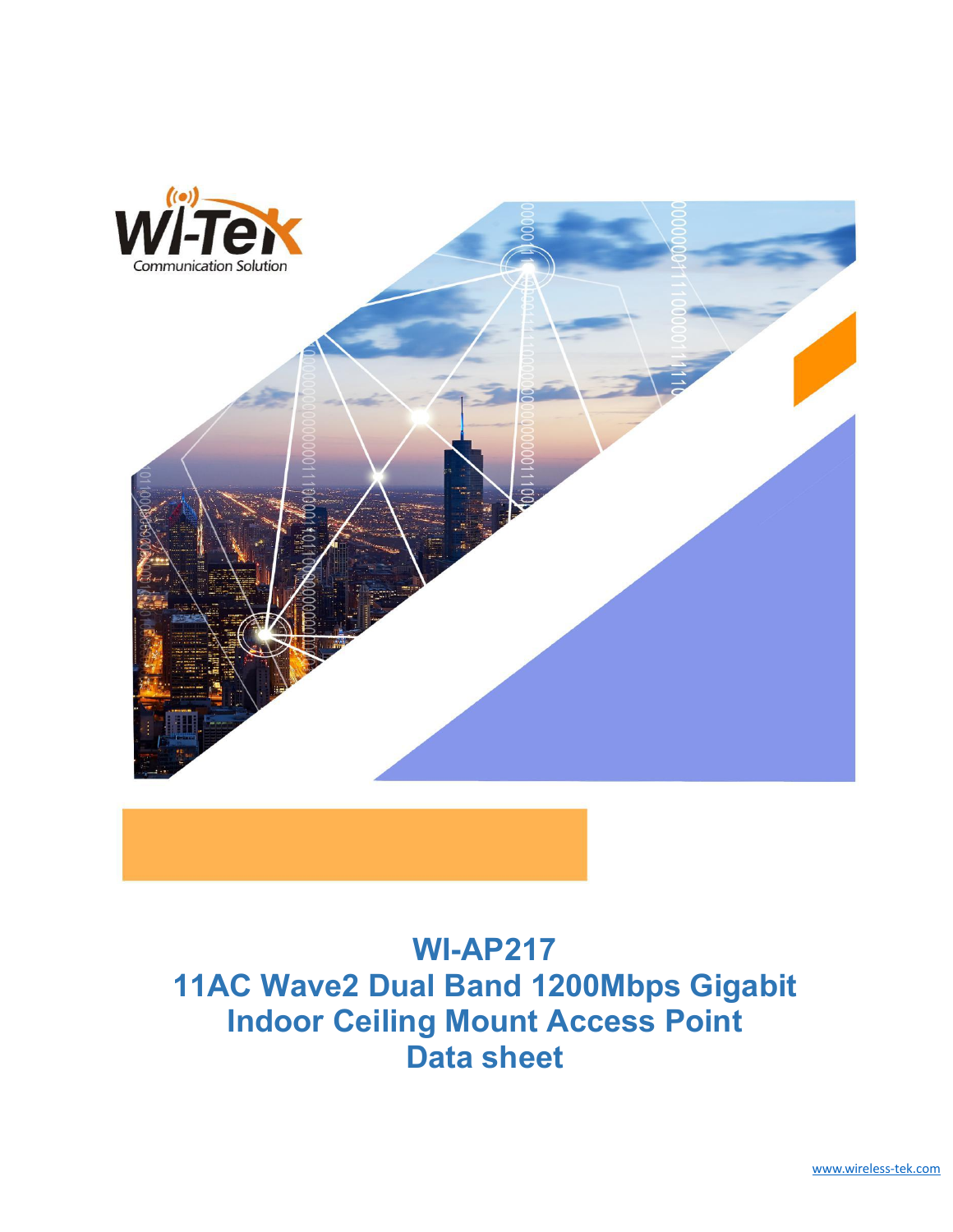

# [www.wireless-tek.com](http://www.wireless-tek.com) **WI-AP217 11AC Wave2 Dual Band 1200Mbps Gigabit Indoor Ceiling Mount Access Point Data sheet**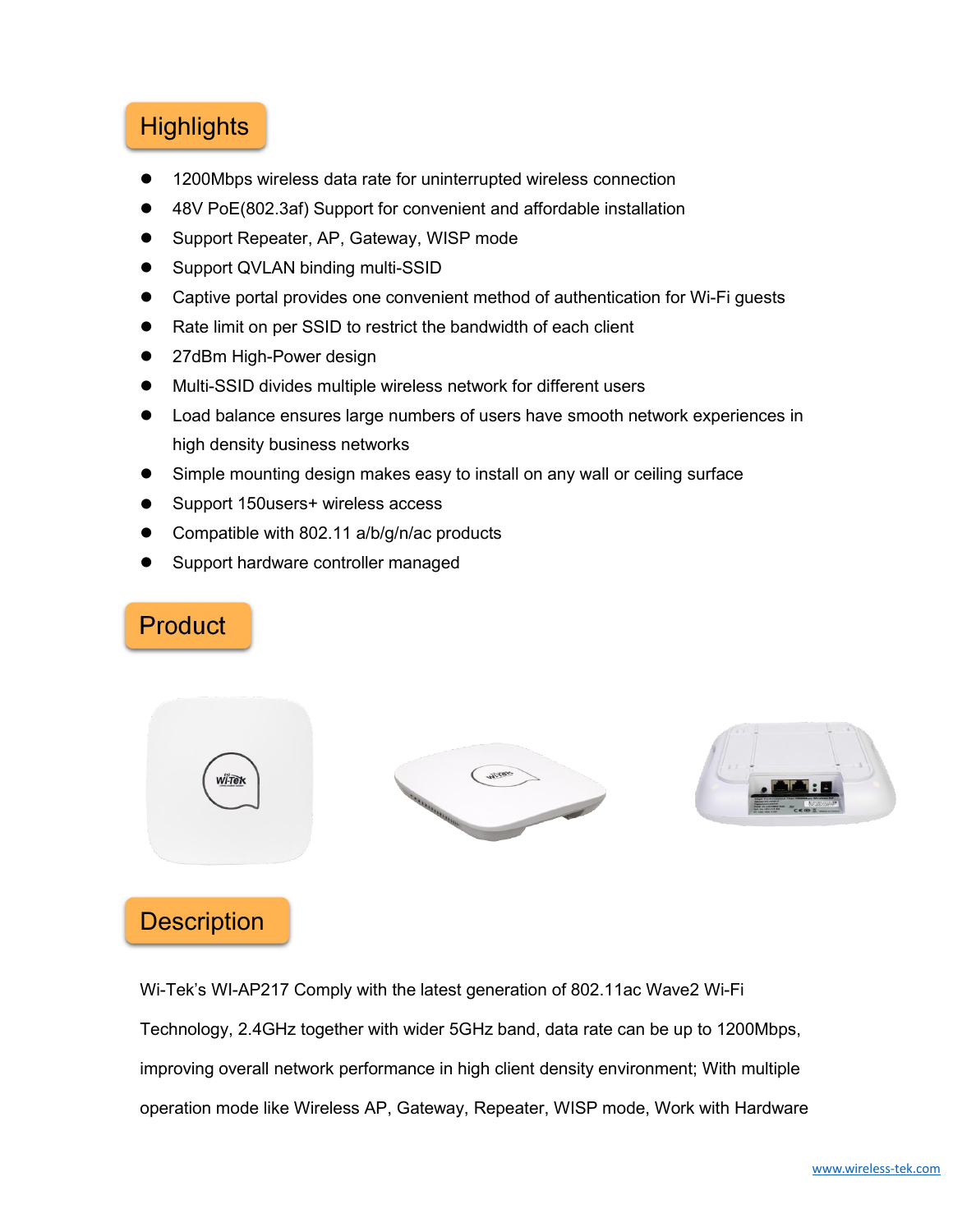## **Highlights**

- 1200Mbps wireless data rate for uninterrupted wireless connection
- 48V PoE(802.3af) Support for convenient and affordable installation
- Support Repeater, AP, Gateway, WISP mode
- Support QVLAN binding multi-SSID
- Captive portal provides one convenient method of authentication for Wi-Fi guests
- Rate limit on per SSID to restrict the bandwidth of each client
- 27dBm High-Power design
- Multi-SSID divides multiple wireless network for different users
- Load balance ensures large numbers of users have smooth network experiences in high density business networks
- Simple mounting design makes easy to install on any wall or ceiling surface
- Support 150users+ wireless access
- Compatible with 802.11 a/b/g/n/ac products
- Support hardware controller managed

## **Product**



### **Description**

Wi-Tek's WI-AP217 Comply with the latest generation of 802.11ac Wave2 Wi-Fi Technology, 2.4GHz together with wider 5GHz band, data rate can be up to 1200Mbps, improving overall network performance in high client density environment; With multiple operation mode like Wireless AP, Gateway, Repeater, WISP mode, Work with Hardware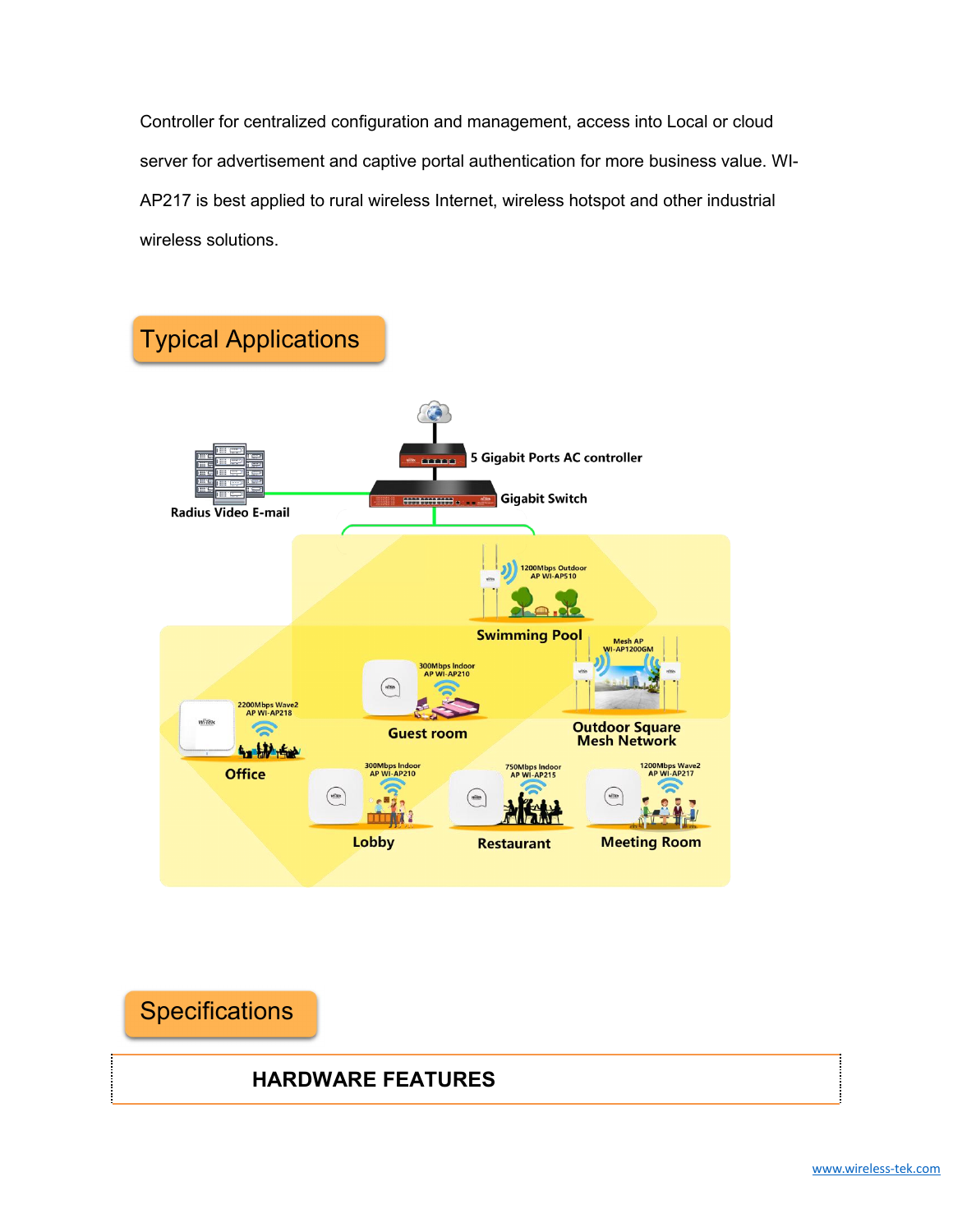Controller for centralized configuration and management, access into Local or cloud server for advertisement and captive portal authentication for more business value. WI- AP217 is best applied to rural wireless Internet, wireless hotspot and other industrial wireless solutions.



**Specifications HARDWARE FEATURES**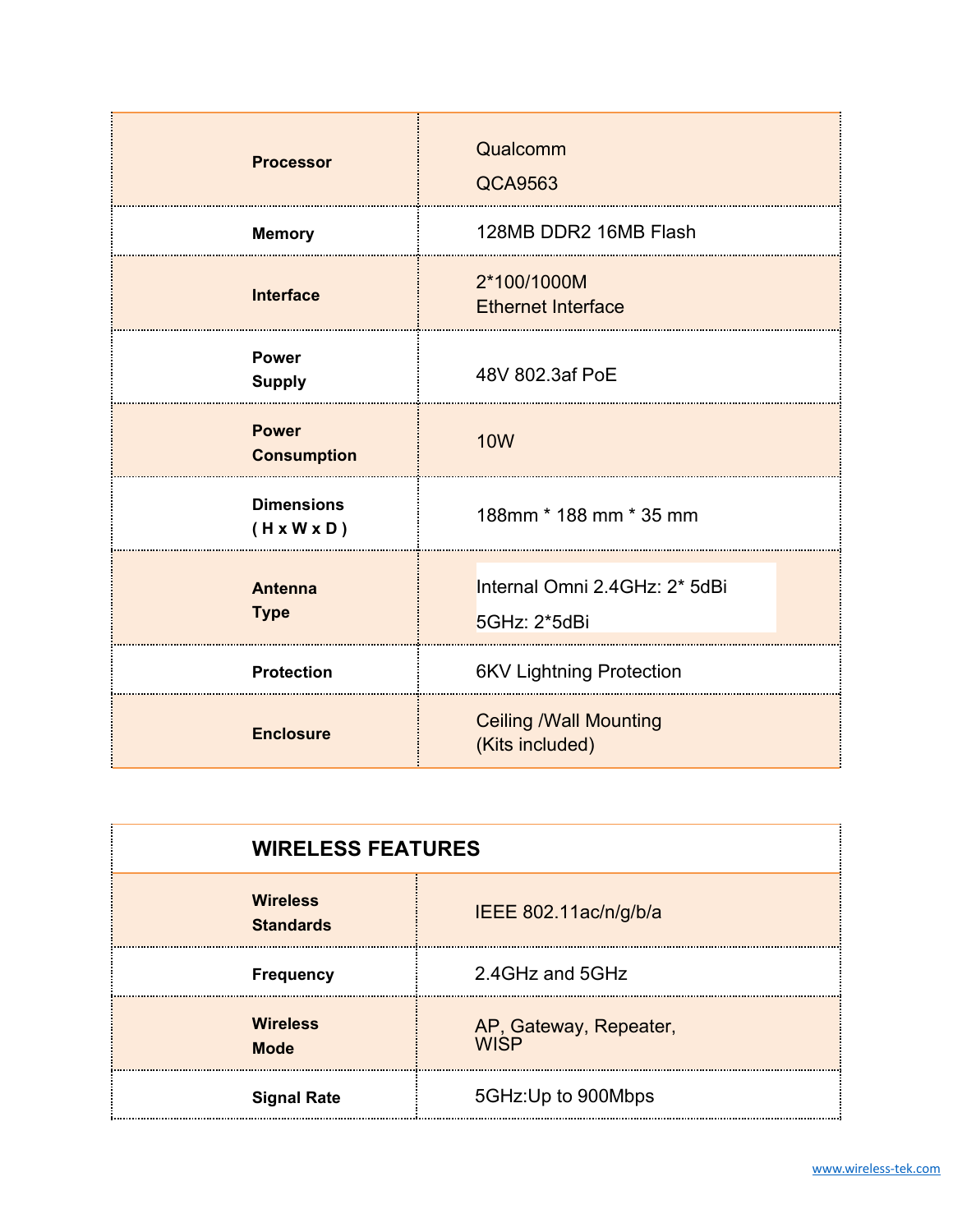| <b>Processor</b>                             | Qualcomm<br><b>QCA9563</b>                       |
|----------------------------------------------|--------------------------------------------------|
| <b>Memory</b>                                | 128MB DDR2 16MB Flash                            |
| <b>Interface</b>                             | 2*100/1000M<br><b>Ethernet Interface</b>         |
| <b>Power</b><br><b>Supply</b>                | 48V 802.3af PoE                                  |
| <b>Power</b><br><b>Consumption</b>           | <b>10W</b>                                       |
| <b>Dimensions</b><br>$(H \times W \times D)$ | 188mm * 188 mm * 35 mm                           |
| <b>Antenna</b><br><b>Type</b>                | Internal Omni 2.4GHz: 2* 5dBi<br>5GHz: 2*5dBi    |
| <b>Protection</b>                            | <b>6KV Lightning Protection</b>                  |
| <b>Enclosure</b>                             | <b>Ceiling /Wall Mounting</b><br>(Kits included) |

| <b>WIRELESS FEATURES</b>            |                                       |
|-------------------------------------|---------------------------------------|
| <b>Wireless</b><br><b>Standards</b> | IEEE 802.11ac/n/g/b/a                 |
| <b>Frequency</b>                    | 2.4GHz and 5GHz                       |
| <b>Wireless</b><br><b>Mode</b>      | AP, Gateway, Repeater,<br><b>WISP</b> |
| <b>Signal Rate</b>                  | 5GHz: Up to 900Mbps                   |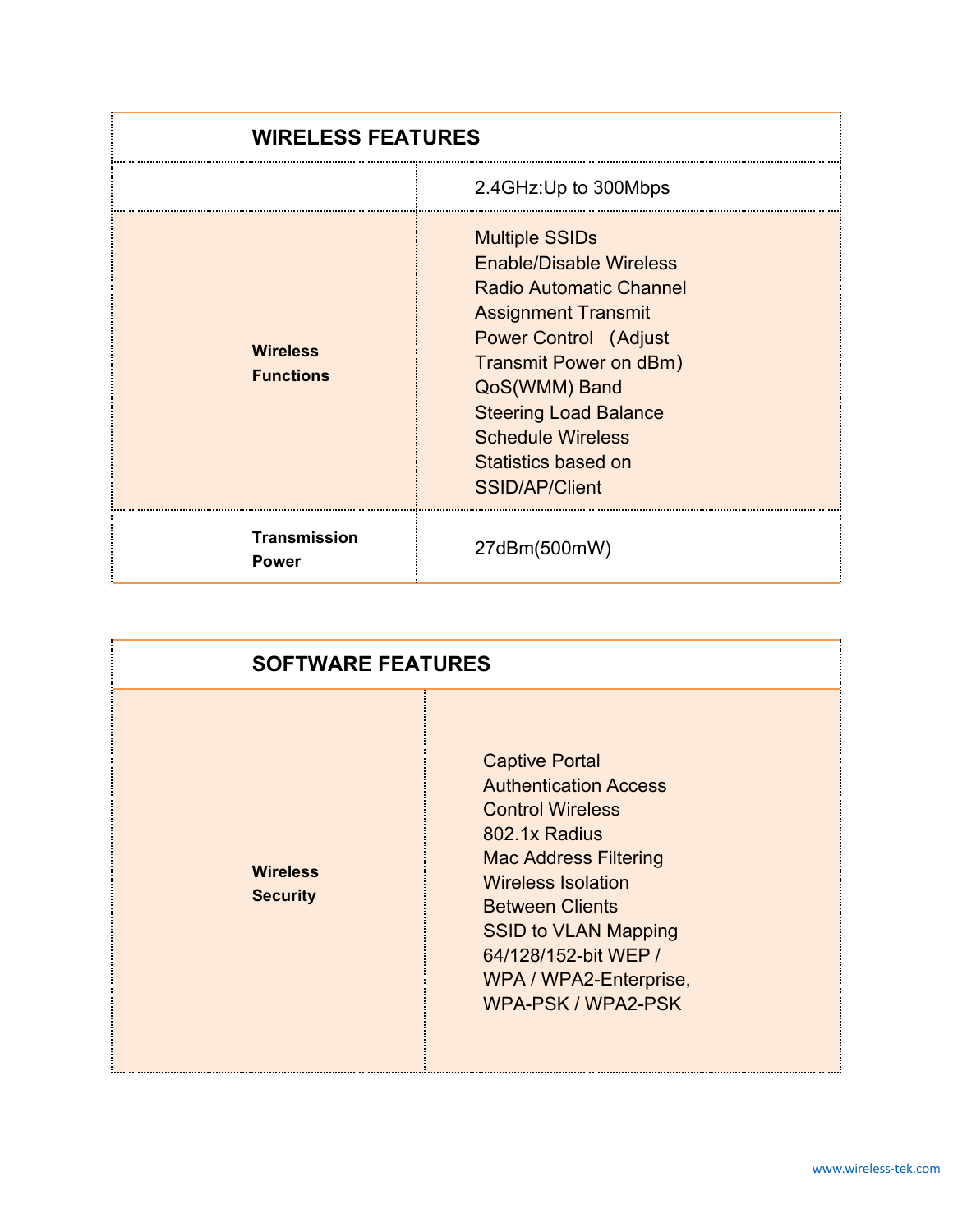| <b>WIRELESS FEATURES</b>            |                                                                                                                                                                                                                                                                                                         |
|-------------------------------------|---------------------------------------------------------------------------------------------------------------------------------------------------------------------------------------------------------------------------------------------------------------------------------------------------------|
|                                     | 2.4GHz: Up to 300Mbps                                                                                                                                                                                                                                                                                   |
| <b>Wireless</b><br><b>Functions</b> | <b>Multiple SSIDs</b><br><b>Enable/Disable Wireless</b><br><b>Radio Automatic Channel</b><br><b>Assignment Transmit</b><br><b>Power Control (Adjust</b><br>Transmit Power on dBm)<br>QoS(WMM) Band<br><b>Steering Load Balance</b><br><b>Schedule Wireless</b><br>Statistics based on<br>SSID/AP/Client |
| <b>Transmission</b><br><b>Power</b> | 27dBm(500mW)                                                                                                                                                                                                                                                                                            |

| <b>SOFTWARE FEATURES</b>           |                                                                                                                                                                                                                                                                                                 |
|------------------------------------|-------------------------------------------------------------------------------------------------------------------------------------------------------------------------------------------------------------------------------------------------------------------------------------------------|
| <b>Wireless</b><br><b>Security</b> | <b>Captive Portal</b><br><b>Authentication Access</b><br><b>Control Wireless</b><br>802.1x Radius<br><b>Mac Address Filtering</b><br><b>Wireless Isolation</b><br><b>Between Clients</b><br><b>SSID to VLAN Mapping</b><br>64/128/152-bit WEP /<br>WPA / WPA2-Enterprise,<br>WPA-PSK / WPA2-PSK |